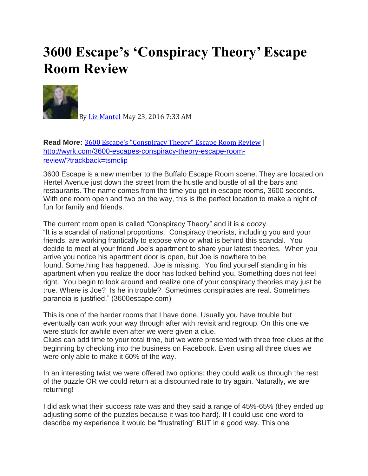## **3600 Escape's 'Conspiracy Theory' Escape Room Review**



By Liz [Mantel](http://wyrk.com/author/lmantel/) May 23, 2016 7:33 AM

**Read More:** 3600 Escape's ["Conspiracy](http://wyrk.com/3600-escapes-conspiracy-theory-escape-room-review/?trackback=tsmclip) Theory" Escape Room Review | [http://wyrk.com/3600-escapes-conspiracy-theory-escape-room](http://wyrk.com/3600-escapes-conspiracy-theory-escape-room-review/?trackback=tsmclip)[review/?trackback=tsmclip](http://wyrk.com/3600-escapes-conspiracy-theory-escape-room-review/?trackback=tsmclip)

3600 Escape is a new member to the Buffalo Escape Room scene. They are located on Hertel Avenue just down the street from the hustle and bustle of all the bars and restaurants. The name comes from the time you get in escape rooms, 3600 seconds. With one room open and two on the way, this is the perfect location to make a night of fun for family and friends.

The current room open is called "Conspiracy Theory" and it is a doozy. "It is a scandal of national proportions. Conspiracy theorists, including you and your friends, are working frantically to expose who or what is behind this scandal. You decide to meet at your friend Joe's apartment to share your latest theories. When you arrive you notice his apartment door is open, but Joe is nowhere to be found. Something has happened. Joe is missing. You find yourself standing in his apartment when you realize the door has locked behind you. Something does not feel right. You begin to look around and realize one of your conspiracy theories may just be true. Where is Joe? Is he in trouble? Sometimes conspiracies are real. Sometimes paranoia is justified." (3600escape.com)

This is one of the harder rooms that I have done. Usually you have trouble but eventually can work your way through after with revisit and regroup. On this one we were stuck for awhile even after we were given a clue.

Clues can add time to your total time, but we were presented with three free clues at the beginning by checking into the business on Facebook. Even using all three clues we were only able to make it 60% of the way.

In an interesting twist we were offered two options: they could walk us through the rest of the puzzle OR we could return at a discounted rate to try again. Naturally, we are returning!

I did ask what their success rate was and they said a range of 45%-65% (they ended up adjusting some of the puzzles because it was too hard). If I could use one word to describe my experience it would be "frustrating" BUT in a good way. This one